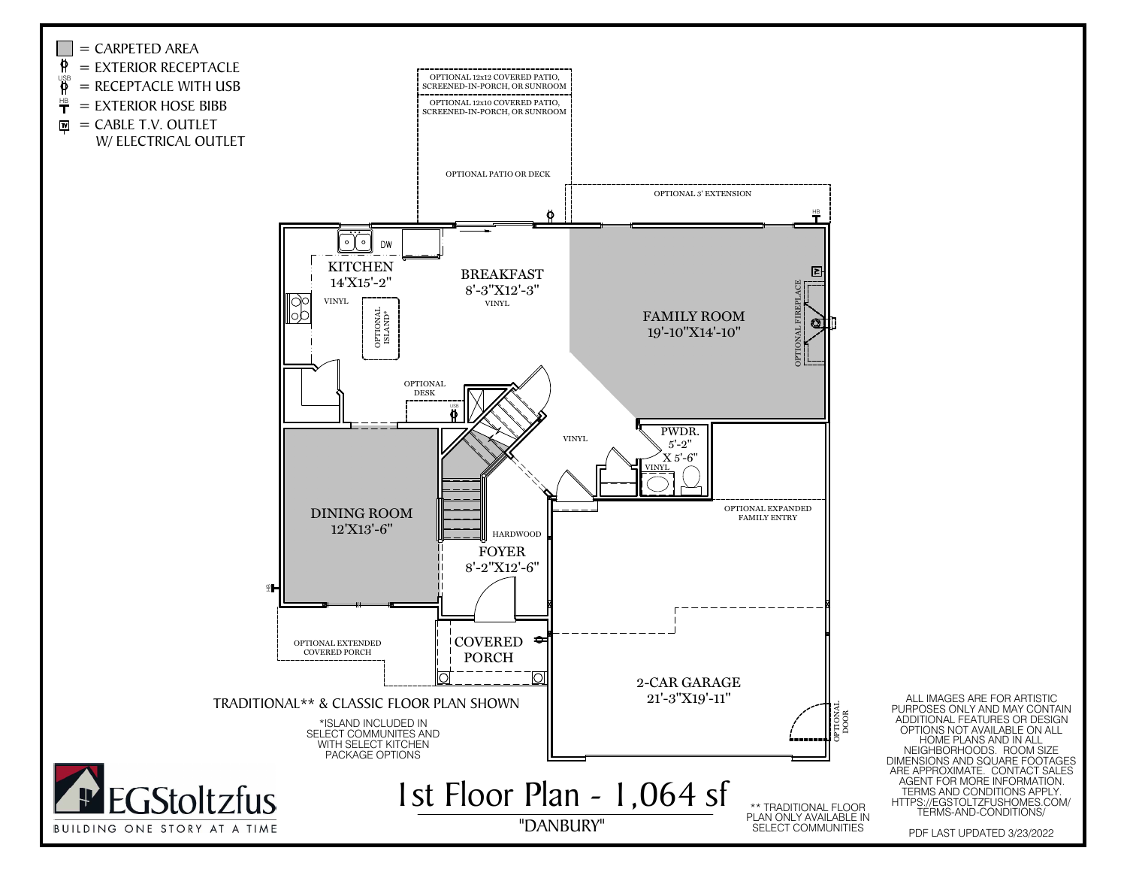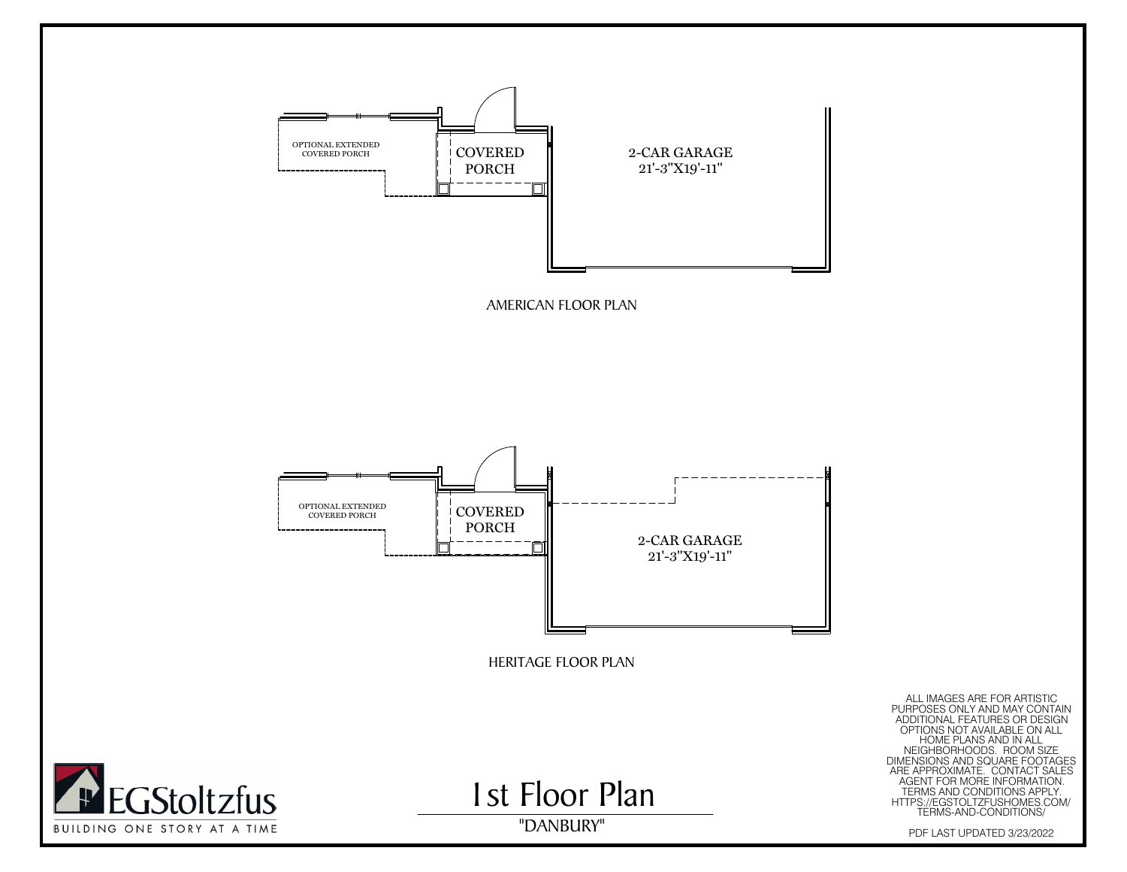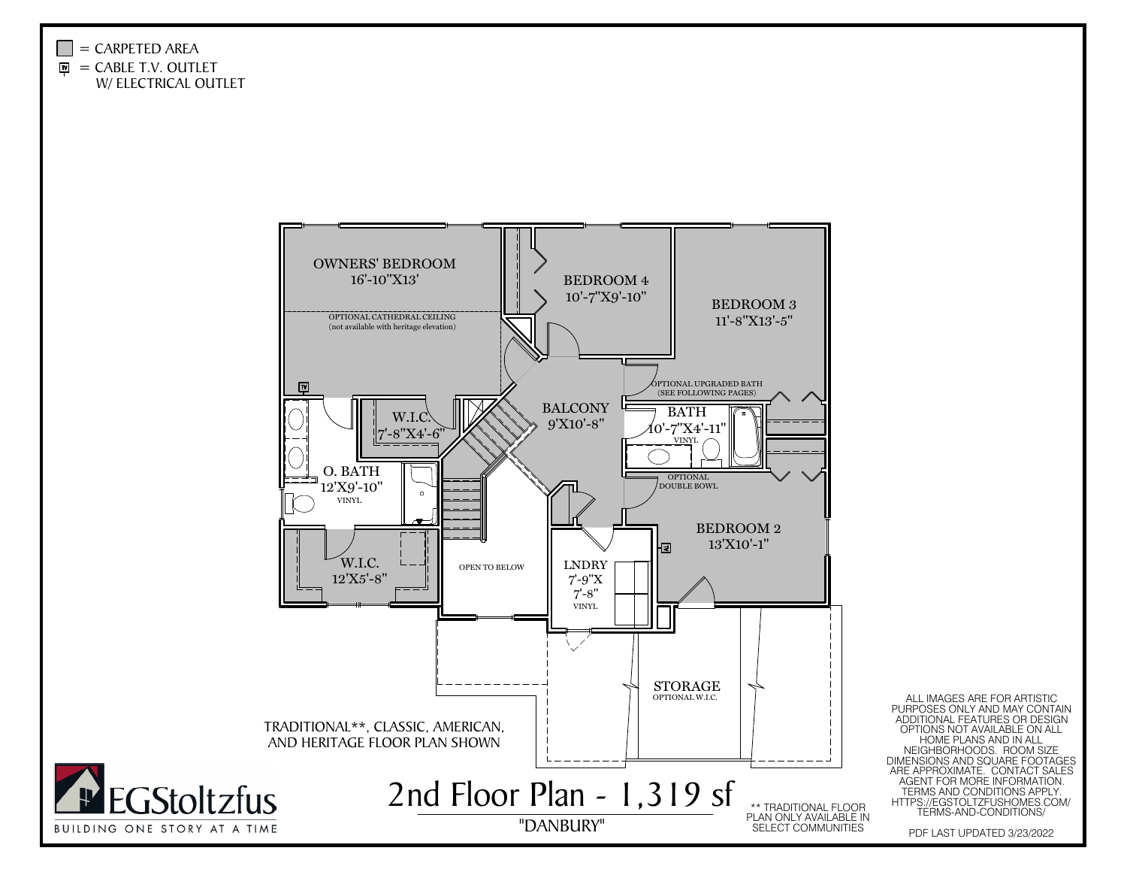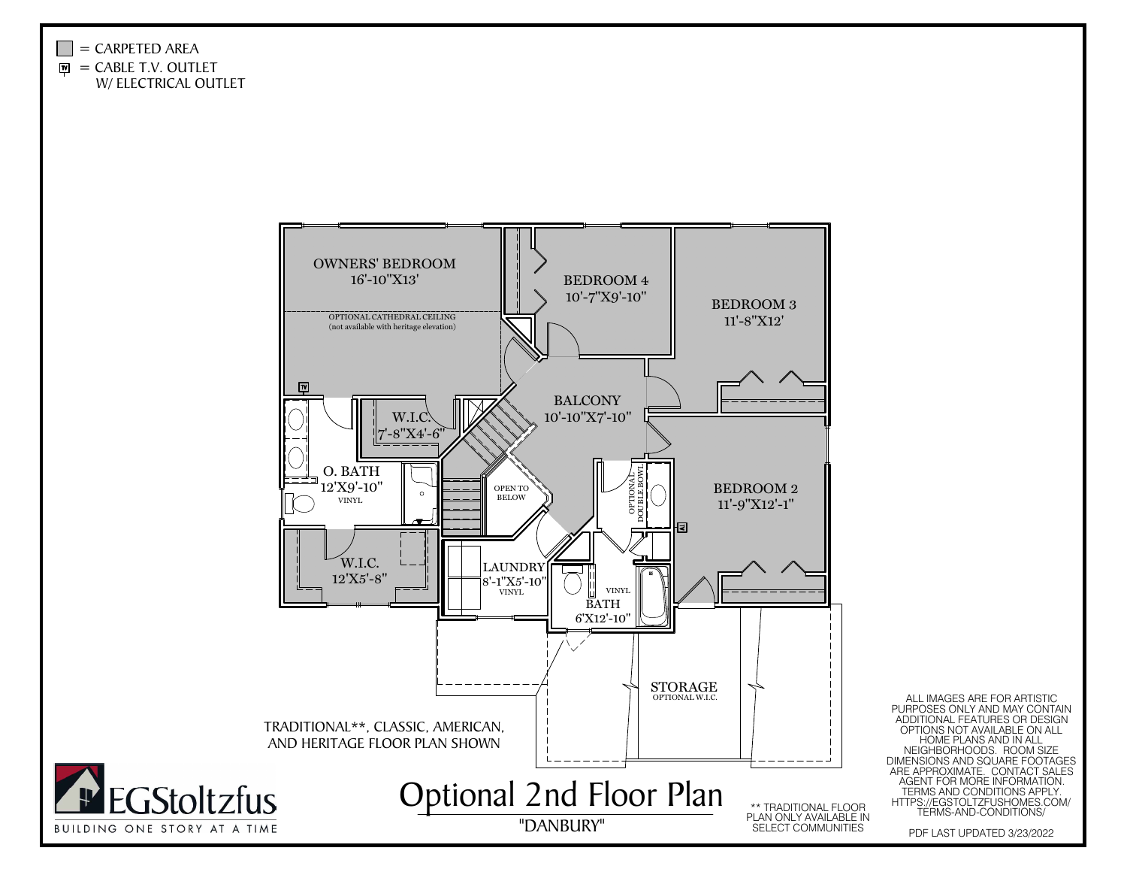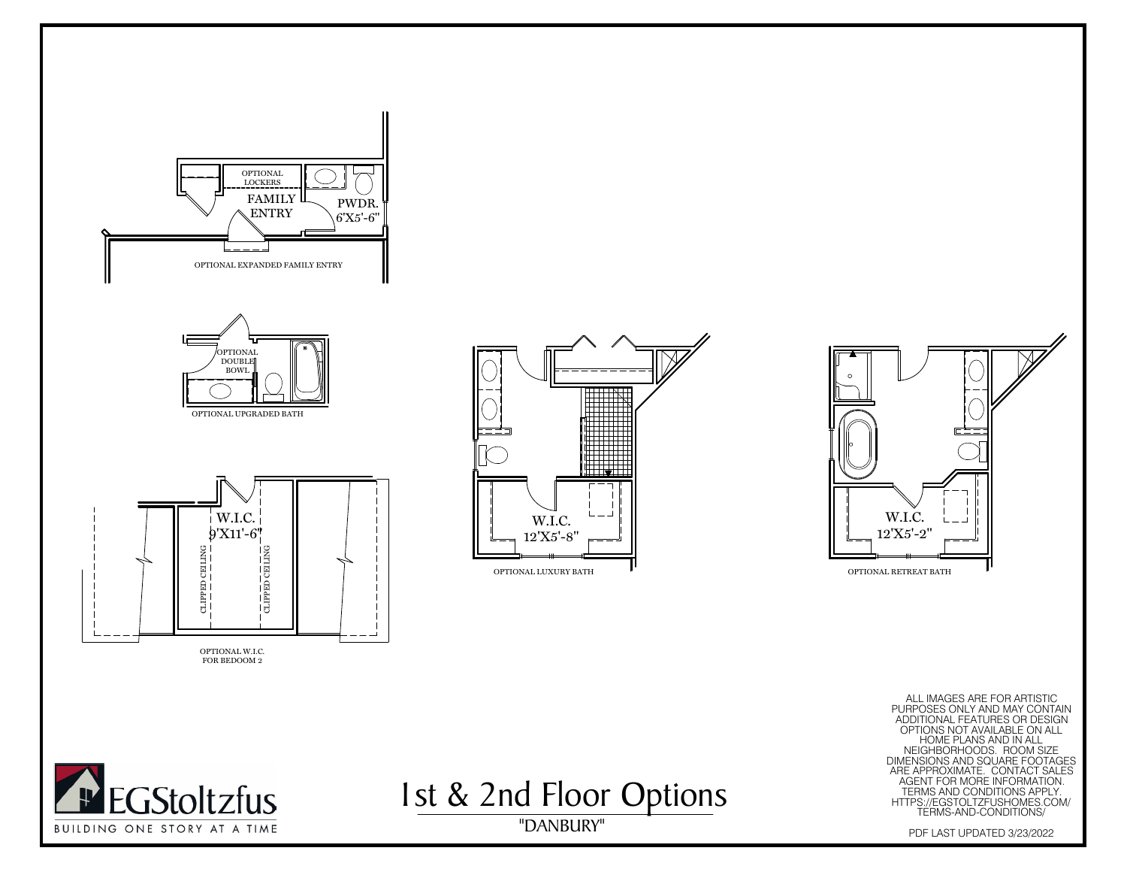









"DANBURY" ALL IMAGES ARE FOR ARTISTIC PURPOSES ONLY AND MAY CONTAIN ADDITIONAL FEATURES OR DESIGN OPTIONS NOT AVAILABLE ON ALL HOME PLANS AND IN ALL NEIGHBORHOODS. ROOM SIZE DIMENSIONS AND SQUARE FOOTAGES ARE APPROXIMATE. CONTACT SALES AGENT FOR MORE INFORMATION. TERMS AND CONDITIONS APPLY. HTTPS://EGSTOLTZFUSHOMES.COM/ TERMS-AND-CONDITIONS/ PDF LAST UPDATED 3/23/2022





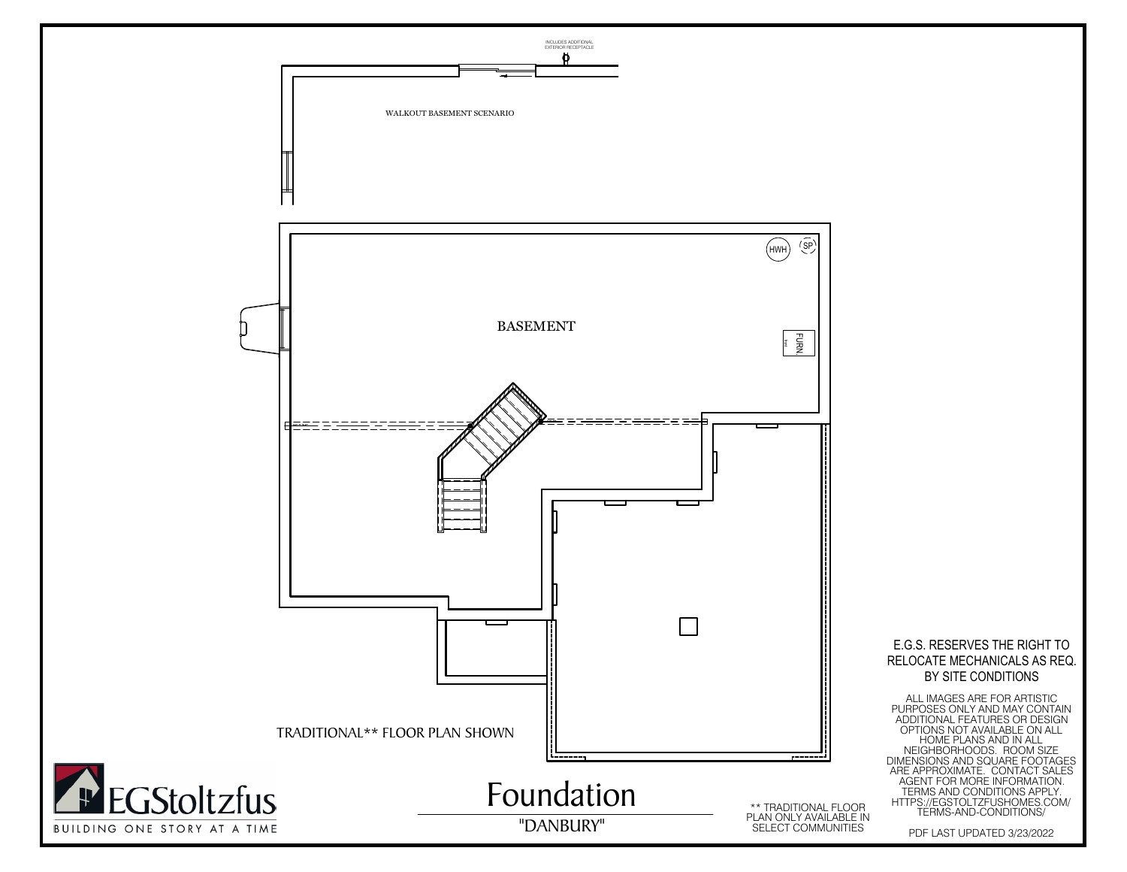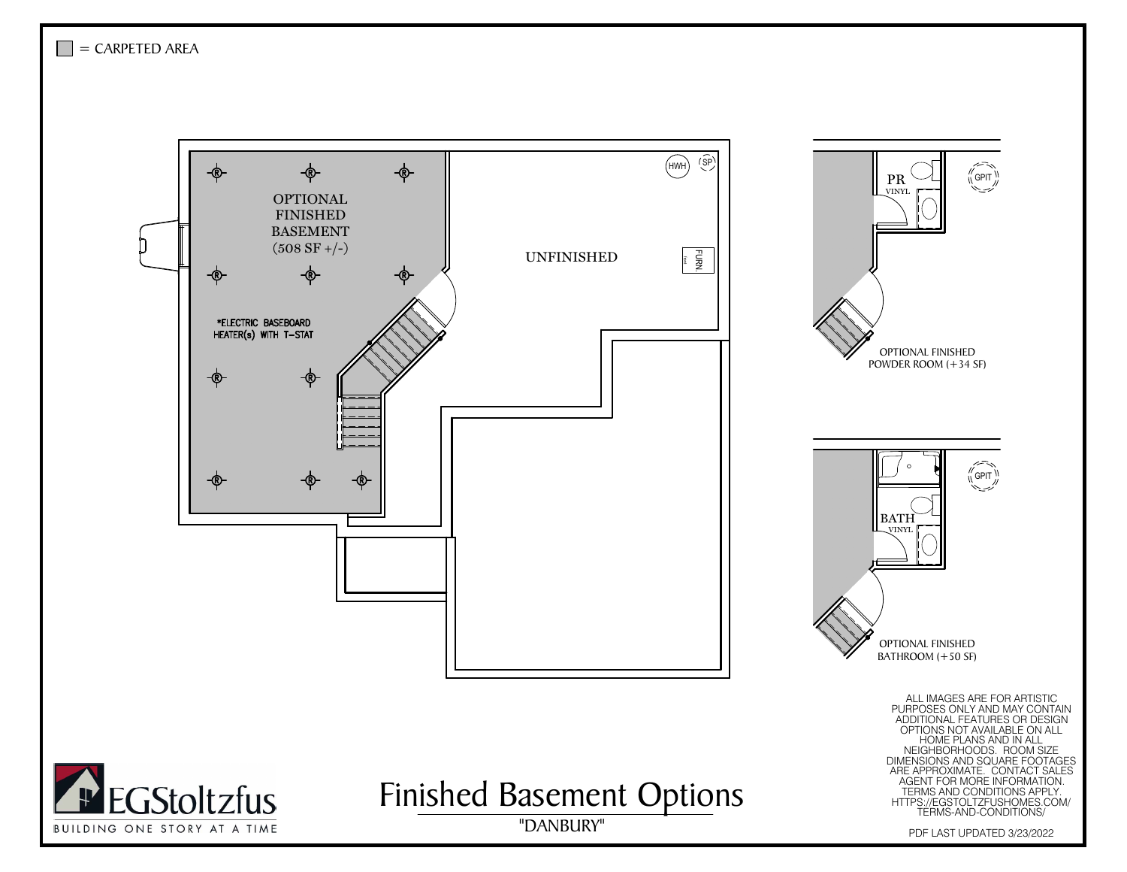

GPIT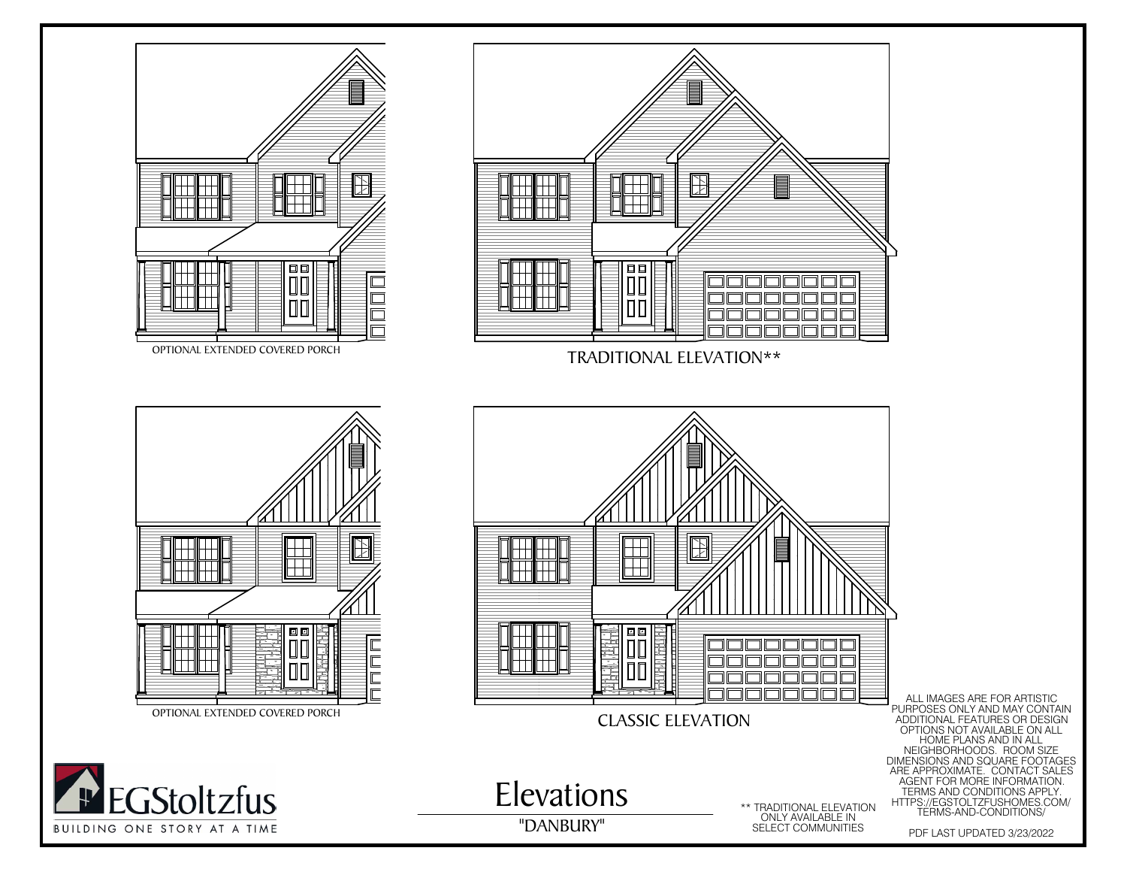